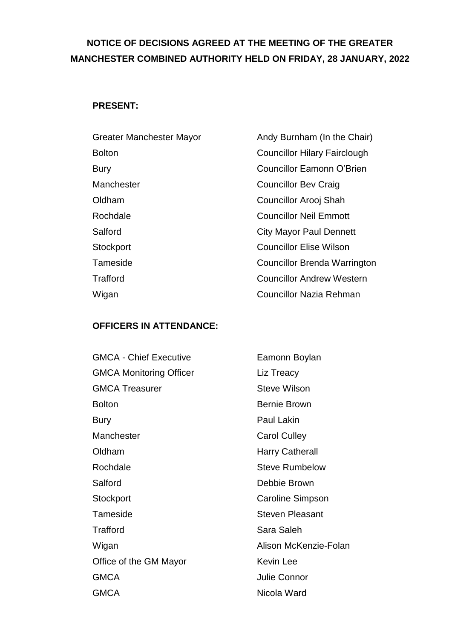# **NOTICE OF DECISIONS AGREED AT THE MEETING OF THE GREATER MANCHESTER COMBINED AUTHORITY HELD ON FRIDAY, 28 JANUARY, 2022**

## **PRESENT:**

| <b>Greater Manchester Mayor</b> | Andy Burnham (In the Chair)         |
|---------------------------------|-------------------------------------|
| <b>Bolton</b>                   | <b>Councillor Hilary Fairclough</b> |
| <b>Bury</b>                     | <b>Councillor Eamonn O'Brien</b>    |
| Manchester                      | <b>Councillor Bev Craig</b>         |
| Oldham                          | Councillor Arooj Shah               |
| Rochdale                        | <b>Councillor Neil Emmott</b>       |
| Salford                         | <b>City Mayor Paul Dennett</b>      |
| Stockport                       | <b>Councillor Elise Wilson</b>      |
| Tameside                        | Councillor Brenda Warrington        |
| Trafford                        | <b>Councillor Andrew Western</b>    |
| Wigan                           | <b>Councillor Nazia Rehman</b>      |

#### **OFFICERS IN ATTENDANCE:**

| <b>GMCA - Chief Executive</b>  | Eamonn Boylan           |  |
|--------------------------------|-------------------------|--|
| <b>GMCA Monitoring Officer</b> | Liz Treacy              |  |
| <b>GMCA Treasurer</b>          | <b>Steve Wilson</b>     |  |
| Bolton                         | <b>Bernie Brown</b>     |  |
| Bury                           | Paul Lakin              |  |
| Manchester                     | <b>Carol Culley</b>     |  |
| Oldham                         | <b>Harry Catherall</b>  |  |
| Rochdale                       | <b>Steve Rumbelow</b>   |  |
| Salford                        | Debbie Brown            |  |
| Stockport                      | <b>Caroline Simpson</b> |  |
| Tameside                       | <b>Steven Pleasant</b>  |  |
| Trafford                       | Sara Saleh              |  |
| Wigan                          | Alison McKenzie-Folan   |  |
| Office of the GM Mayor         | <b>Kevin Lee</b>        |  |
| GMCA                           | <b>Julie Connor</b>     |  |
| GMCA                           | Nicola Ward             |  |
|                                |                         |  |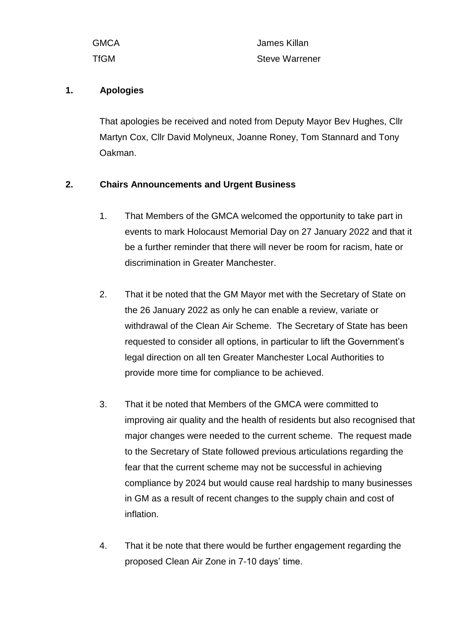| <b>GMCA</b> | James Killan          |
|-------------|-----------------------|
| <b>TfGM</b> | <b>Steve Warrener</b> |

#### **1. Apologies**

That apologies be received and noted from Deputy Mayor Bev Hughes, Cllr Martyn Cox, Cllr David Molyneux, Joanne Roney, Tom Stannard and Tony Oakman.

### **2. Chairs Announcements and Urgent Business**

- 1. That Members of the GMCA welcomed the opportunity to take part in events to mark Holocaust Memorial Day on 27 January 2022 and that it be a further reminder that there will never be room for racism, hate or discrimination in Greater Manchester.
- 2. That it be noted that the GM Mayor met with the Secretary of State on the 26 January 2022 as only he can enable a review, variate or withdrawal of the Clean Air Scheme. The Secretary of State has been requested to consider all options, in particular to lift the Government's legal direction on all ten Greater Manchester Local Authorities to provide more time for compliance to be achieved.
- 3. That it be noted that Members of the GMCA were committed to improving air quality and the health of residents but also recognised that major changes were needed to the current scheme. The request made to the Secretary of State followed previous articulations regarding the fear that the current scheme may not be successful in achieving compliance by 2024 but would cause real hardship to many businesses in GM as a result of recent changes to the supply chain and cost of inflation.
- 4. That it be note that there would be further engagement regarding the proposed Clean Air Zone in 7-10 days' time.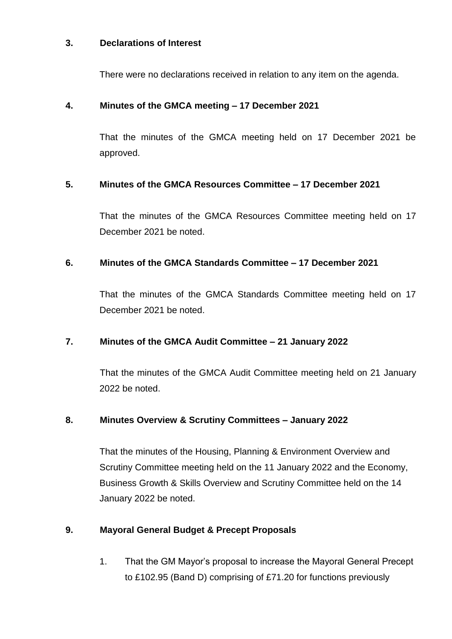#### **3. Declarations of Interest**

There were no declarations received in relation to any item on the agenda.

### **4. Minutes of the GMCA meeting – 17 December 2021**

That the minutes of the GMCA meeting held on 17 December 2021 be approved.

### **5. Minutes of the GMCA Resources Committee – 17 December 2021**

That the minutes of the GMCA Resources Committee meeting held on 17 December 2021 be noted.

### **6. Minutes of the GMCA Standards Committee – 17 December 2021**

That the minutes of the GMCA Standards Committee meeting held on 17 December 2021 be noted.

### **7. Minutes of the GMCA Audit Committee – 21 January 2022**

That the minutes of the GMCA Audit Committee meeting held on 21 January 2022 be noted.

### **8. Minutes Overview & Scrutiny Committees – January 2022**

That the minutes of the Housing, Planning & Environment Overview and Scrutiny Committee meeting held on the 11 January 2022 and the Economy, Business Growth & Skills Overview and Scrutiny Committee held on the 14 January 2022 be noted.

#### **9. Mayoral General Budget & Precept Proposals**

1. That the GM Mayor's proposal to increase the Mayoral General Precept to £102.95 (Band D) comprising of £71.20 for functions previously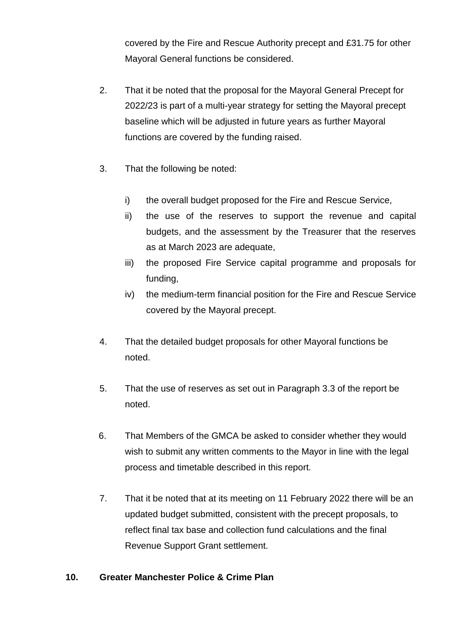covered by the Fire and Rescue Authority precept and £31.75 for other Mayoral General functions be considered.

- 2. That it be noted that the proposal for the Mayoral General Precept for 2022/23 is part of a multi-year strategy for setting the Mayoral precept baseline which will be adjusted in future years as further Mayoral functions are covered by the funding raised.
- 3. That the following be noted:
	- i) the overall budget proposed for the Fire and Rescue Service,
	- ii) the use of the reserves to support the revenue and capital budgets, and the assessment by the Treasurer that the reserves as at March 2023 are adequate,
	- iii) the proposed Fire Service capital programme and proposals for funding,
	- iv) the medium-term financial position for the Fire and Rescue Service covered by the Mayoral precept.
- 4. That the detailed budget proposals for other Mayoral functions be noted.
- 5. That the use of reserves as set out in Paragraph 3.3 of the report be noted.
- 6. That Members of the GMCA be asked to consider whether they would wish to submit any written comments to the Mayor in line with the legal process and timetable described in this report.
- 7. That it be noted that at its meeting on 11 February 2022 there will be an updated budget submitted, consistent with the precept proposals, to reflect final tax base and collection fund calculations and the final Revenue Support Grant settlement.

### **10. Greater Manchester Police & Crime Plan**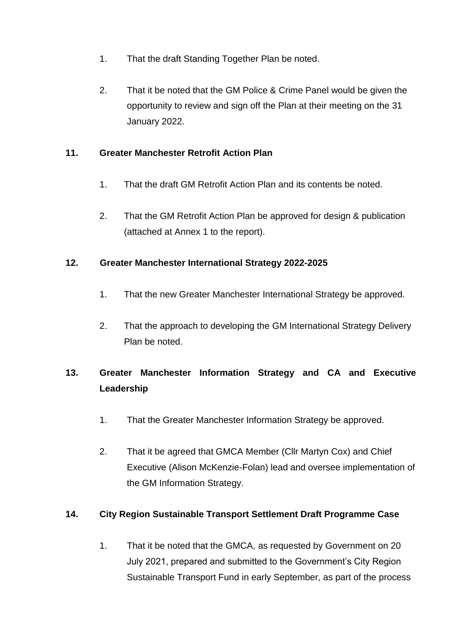- 1. That the draft Standing Together Plan be noted.
- 2. That it be noted that the GM Police & Crime Panel would be given the opportunity to review and sign off the Plan at their meeting on the 31 January 2022.

## **11. Greater Manchester Retrofit Action Plan**

- 1. That the draft GM Retrofit Action Plan and its contents be noted.
- 2. That the GM Retrofit Action Plan be approved for design & publication (attached at Annex 1 to the report).

### **12. Greater Manchester International Strategy 2022-2025**

- 1. That the new Greater Manchester International Strategy be approved.
- 2. That the approach to developing the GM International Strategy Delivery Plan be noted.

# **13. Greater Manchester Information Strategy and CA and Executive Leadership**

- 1. That the Greater Manchester Information Strategy be approved.
- 2. That it be agreed that GMCA Member (Cllr Martyn Cox) and Chief Executive (Alison McKenzie-Folan) lead and oversee implementation of the GM Information Strategy.

### **14. City Region Sustainable Transport Settlement Draft Programme Case**

1. That it be noted that the GMCA, as requested by Government on 20 July 2021, prepared and submitted to the Government's City Region Sustainable Transport Fund in early September, as part of the process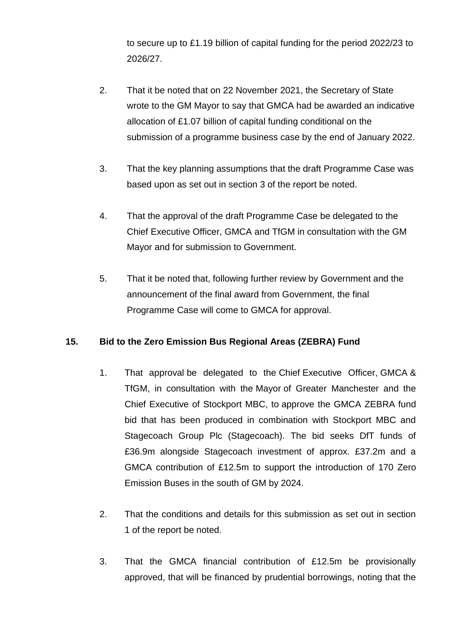to secure up to £1.19 billion of capital funding for the period 2022/23 to 2026/27.

- 2. That it be noted that on 22 November 2021, the Secretary of State wrote to the GM Mayor to say that GMCA had be awarded an indicative allocation of £1.07 billion of capital funding conditional on the submission of a programme business case by the end of January 2022.
- 3. That the key planning assumptions that the draft Programme Case was based upon as set out in section 3 of the report be noted.
- 4. That the approval of the draft Programme Case be delegated to the Chief Executive Officer, GMCA and TfGM in consultation with the GM Mayor and for submission to Government.
- 5. That it be noted that, following further review by Government and the announcement of the final award from Government, the final Programme Case will come to GMCA for approval.

### **15. Bid to the Zero Emission Bus Regional Areas (ZEBRA) Fund**

- 1. That approval be delegated to the Chief Executive Officer, GMCA & TfGM, in consultation with the Mayor of Greater Manchester and the Chief Executive of Stockport MBC, to approve the GMCA ZEBRA fund bid that has been produced in combination with Stockport MBC and Stagecoach Group Plc (Stagecoach). The bid seeks DfT funds of £36.9m alongside Stagecoach investment of approx. £37.2m and a GMCA contribution of £12.5m to support the introduction of 170 Zero Emission Buses in the south of GM by 2024.
- 2. That the conditions and details for this submission as set out in section 1 of the report be noted.
- 3. That the GMCA financial contribution of £12.5m be provisionally approved, that will be financed by prudential borrowings, noting that the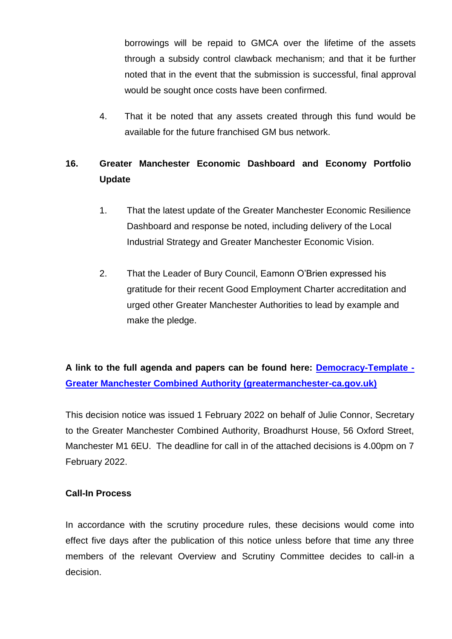borrowings will be repaid to GMCA over the lifetime of the assets through a subsidy control clawback mechanism; and that it be further noted that in the event that the submission is successful, final approval would be sought once costs have been confirmed.

4. That it be noted that any assets created through this fund would be available for the future franchised GM bus network.

## **16. Greater Manchester Economic Dashboard and Economy Portfolio Update**

- 1. That the latest update of the Greater Manchester Economic Resilience Dashboard and response be noted, including delivery of the Local Industrial Strategy and Greater Manchester Economic Vision.
- 2. That the Leader of Bury Council, Eamonn O'Brien expressed his gratitude for their recent Good Employment Charter accreditation and urged other Greater Manchester Authorities to lead by example and make the pledge.

**A link to the full agenda and papers can be found here: [Democracy-Template -](https://democracy.greatermanchester-ca.gov.uk/ieListDocuments.aspx?CId=136&MId=4416&Ver=4) [Greater Manchester Combined Authority \(greatermanchester-ca.gov.uk\)](https://democracy.greatermanchester-ca.gov.uk/ieListDocuments.aspx?CId=136&MId=4416&Ver=4)**

This decision notice was issued 1 February 2022 on behalf of Julie Connor, Secretary to the Greater Manchester Combined Authority, Broadhurst House, 56 Oxford Street, Manchester M1 6EU. The deadline for call in of the attached decisions is 4.00pm on 7 February 2022.

### **Call-In Process**

In accordance with the scrutiny procedure rules, these decisions would come into effect five days after the publication of this notice unless before that time any three members of the relevant Overview and Scrutiny Committee decides to call-in a decision.